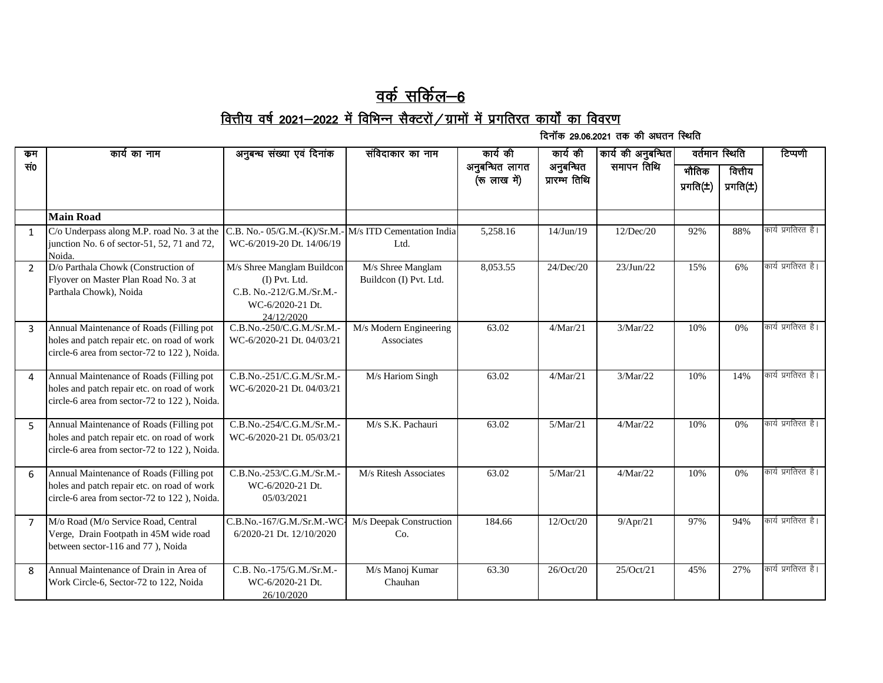## <u>वर्क सर्किल—6</u>

## <u>वित्तीय वर्ष 2021—2022 में विभिन्न सैक्टरों / ग्रामों में प्रगतिरत कार्यों का विवरण</u>

दिनॉक 29.06.2021 तक की अधतन स्थिति

| कम             | कार्य का नाम                                                                                                                            | अनुबन्ध संख्या एवं दिनांक                                                                                 | संविदाकार का नाम                            | कार्य की                       | कार्य की                   | कार्य की अनुबन्धित | वर्तमान स्थिति          |                           | टिप्पणी            |
|----------------|-----------------------------------------------------------------------------------------------------------------------------------------|-----------------------------------------------------------------------------------------------------------|---------------------------------------------|--------------------------------|----------------------------|--------------------|-------------------------|---------------------------|--------------------|
| सं०            |                                                                                                                                         |                                                                                                           |                                             | अनुबन्धित लागत<br>(रू लाख में) | अनुबन्धित<br>प्रारम्भ तिथि | समापन तिथि         | भौतिक<br>प्रगति $(\pm)$ | वित्तीय<br>प्रगति $(\pm)$ |                    |
|                | <b>Main Road</b>                                                                                                                        |                                                                                                           |                                             |                                |                            |                    |                         |                           |                    |
| $\mathbf{1}$   | C/o Underpass along M.P. road No. 3 at the<br>junction No. 6 of sector-51, 52, 71 and 72,<br>Noida.                                     | C.B. No.- 05/G.M.-(K)/Sr.M.<br>WC-6/2019-20 Dt. 14/06/19                                                  | M/s ITD Cementation India<br>Ltd.           | 5,258.16                       | 14/Jun/19                  | 12/Dec/20          | 92%                     | 88%                       | कार्य प्रगतिरत है। |
| $\mathcal{P}$  | D/o Parthala Chowk (Construction of<br>Flyover on Master Plan Road No. 3 at<br>Parthala Chowk), Noida                                   | M/s Shree Manglam Buildcon<br>(I) Pvt. Ltd.<br>C.B. No.-212/G.M./Sr.M.-<br>WC-6/2020-21 Dt.<br>24/12/2020 | M/s Shree Manglam<br>Buildcon (I) Pvt. Ltd. | 8,053.55                       | 24/Dec/20                  | 23/Jun/22          | 15%                     | 6%                        | कार्य प्रगतिरत है। |
| 3              | Annual Maintenance of Roads (Filling pot<br>holes and patch repair etc. on road of work<br>circle-6 area from sector-72 to 122), Noida. | C.B.No.-250/C.G.M./Sr.M.-<br>WC-6/2020-21 Dt. 04/03/21                                                    | M/s Modern Engineering<br>Associates        | 63.02                          | 4/Mar/21                   | 3/Mar/22           | 10%                     | $0\%$                     | कार्य प्रगतिरत है। |
| $\overline{a}$ | Annual Maintenance of Roads (Filling pot<br>holes and patch repair etc. on road of work<br>circle-6 area from sector-72 to 122), Noida. | C.B.No.-251/C.G.M./Sr.M.-<br>WC-6/2020-21 Dt. 04/03/21                                                    | M/s Hariom Singh                            | 63.02                          | 4/Mar/21                   | 3/Mar/22           | 10%                     | 14%                       | कार्य प्रगतिरत है। |
| 5              | Annual Maintenance of Roads (Filling pot<br>holes and patch repair etc. on road of work<br>circle-6 area from sector-72 to 122), Noida. | C.B.No.-254/C.G.M./Sr.M.-<br>WC-6/2020-21 Dt. 05/03/21                                                    | M/s S.K. Pachauri                           | 63.02                          | 5/Mar/21                   | 4/Mar/22           | 10%                     | 0%                        | कार्य प्रगतिरत है। |
| 6              | Annual Maintenance of Roads (Filling pot<br>holes and patch repair etc. on road of work<br>circle-6 area from sector-72 to 122), Noida. | C.B.No.-253/C.G.M./Sr.M.-<br>WC-6/2020-21 Dt.<br>05/03/2021                                               | M/s Ritesh Associates                       | 63.02                          | 5/Mar/21                   | 4/Mar/22           | 10%                     | 0%                        | कार्य प्रगतिरत है। |
| $\overline{7}$ | M/o Road (M/o Service Road, Central<br>Verge, Drain Footpath in 45M wide road<br>between sector-116 and 77), Noida                      | C.B.No.-167/G.M./Sr.M.-WO<br>6/2020-21 Dt. 12/10/2020                                                     | M/s Deepak Construction<br>Co.              | 184.66                         | 12/Oct/20                  | 9/Apr/21           | 97%                     | 94%                       | कार्य प्रगतिरत है। |
| $\mathbf{8}$   | Annual Maintenance of Drain in Area of<br>Work Circle-6, Sector-72 to 122, Noida                                                        | C.B. No.-175/G.M./Sr.M.-<br>WC-6/2020-21 Dt.<br>26/10/2020                                                | M/s Manoj Kumar<br>Chauhan                  | 63.30                          | 26/Oct/20                  | 25/Oct/21          | 45%                     | 27%                       | कार्य प्रगतिरत है। |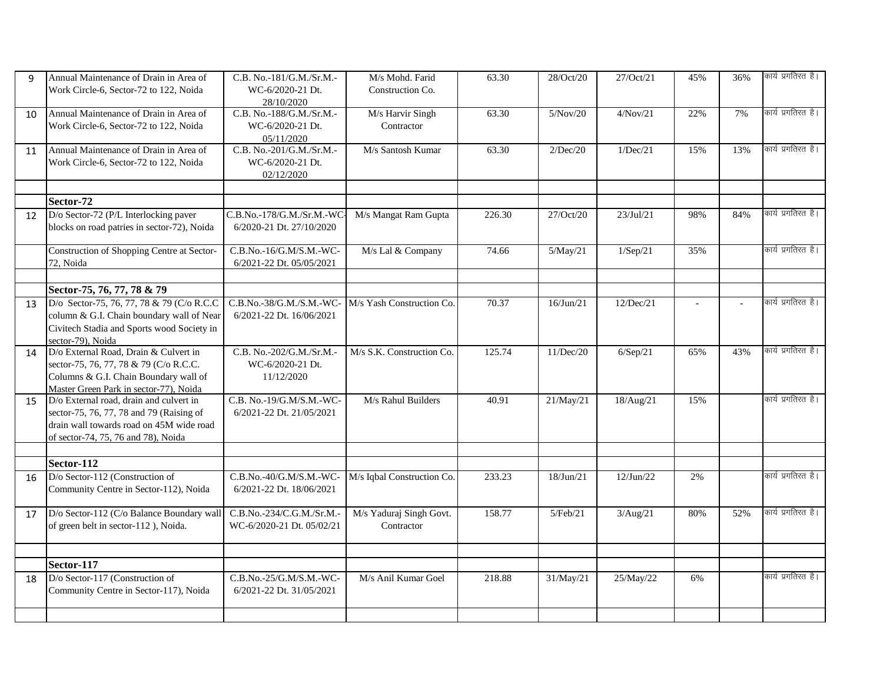| 9  | Annual Maintenance of Drain in Area of      | C.B. No.-181/G.M./Sr.M.-  | M/s Mohd. Farid            | 63.30  | 28/Oct/20 | 27/Oct/21 | 45% | 36% | कार्य प्रगतिरत है। |
|----|---------------------------------------------|---------------------------|----------------------------|--------|-----------|-----------|-----|-----|--------------------|
|    | Work Circle-6, Sector-72 to 122, Noida      | WC-6/2020-21 Dt.          | Construction Co.           |        |           |           |     |     |                    |
|    |                                             | 28/10/2020                |                            |        |           |           |     |     |                    |
| 10 | Annual Maintenance of Drain in Area of      | C.B. No.-188/G.M./Sr.M.-  | M/s Harvir Singh           | 63.30  | 5/Nov/20  | 4/Nov/21  | 22% | 7%  | कार्य प्रगतिरत है। |
|    | Work Circle-6, Sector-72 to 122, Noida      | WC-6/2020-21 Dt.          | Contractor                 |        |           |           |     |     |                    |
|    |                                             | 05/11/2020                |                            |        |           |           |     |     |                    |
| 11 | Annual Maintenance of Drain in Area of      | C.B. No.-201/G.M./Sr.M.-  | M/s Santosh Kumar          | 63.30  | 2/Dec/20  | 1/Dec/21  | 15% | 13% | कार्य प्रगतिरत है। |
|    | Work Circle-6, Sector-72 to 122, Noida      | WC-6/2020-21 Dt.          |                            |        |           |           |     |     |                    |
|    |                                             | 02/12/2020                |                            |        |           |           |     |     |                    |
|    |                                             |                           |                            |        |           |           |     |     |                    |
|    | Sector-72                                   |                           |                            |        |           |           |     |     |                    |
| 12 | D/o Sector-72 (P/L Interlocking paver       | C.B.No.-178/G.M./Sr.M.-WC | M/s Mangat Ram Gupta       | 226.30 | 27/Oct/20 | 23/Jul/21 | 98% | 84% | कार्य प्रगतिरत है। |
|    | blocks on road patries in sector-72), Noida | 6/2020-21 Dt. 27/10/2020  |                            |        |           |           |     |     |                    |
|    |                                             |                           |                            |        |           |           |     |     |                    |
|    | Construction of Shopping Centre at Sector-  | C.B.No.-16/G.M/S.M.-WC-   | M/s Lal & Company          | 74.66  | 5/May/21  | 1/Sep/21  | 35% |     | कार्य प्रगतिरत है। |
|    | 72, Noida                                   | 6/2021-22 Dt. 05/05/2021  |                            |        |           |           |     |     |                    |
|    |                                             |                           |                            |        |           |           |     |     |                    |
|    | Sector-75, 76, 77, 78 & 79                  |                           |                            |        |           |           |     |     |                    |
| 13 | D/o Sector-75, 76, 77, 78 & 79 (C/o R.C.C)  | C.B.No.-38/G.M./S.M.-WC-  | M/s Yash Construction Co.  | 70.37  | 16/Jun/21 | 12/Dec/21 |     |     | कार्य प्रगतिरत है। |
|    | column & G.I. Chain boundary wall of Near   | 6/2021-22 Dt. 16/06/2021  |                            |        |           |           |     |     |                    |
|    | Civitech Stadia and Sports wood Society in  |                           |                            |        |           |           |     |     |                    |
|    | sector-79), Noida                           |                           |                            |        |           |           |     |     |                    |
| 14 | D/o External Road, Drain & Culvert in       | C.B. No.-202/G.M./Sr.M.-  | M/s S.K. Construction Co.  | 125.74 | 11/Dec/20 | 6/Sep/21  | 65% | 43% | कार्य प्रगतिरत है। |
|    | sector-75, 76, 77, 78 & 79 (C/o R.C.C.      | WC-6/2020-21 Dt.          |                            |        |           |           |     |     |                    |
|    | Columns & G.I. Chain Boundary wall of       | 11/12/2020                |                            |        |           |           |     |     |                    |
|    | Master Green Park in sector-77), Noida      |                           |                            |        |           |           |     |     |                    |
| 15 | D/o External road, drain and culvert in     | C.B. No.-19/G.M/S.M.-WC-  | M/s Rahul Builders         | 40.91  | 21/May/21 | 18/Aug/21 | 15% |     | कार्य प्रगतिरत है। |
|    | sector-75, 76, 77, 78 and 79 (Raising of    | 6/2021-22 Dt. 21/05/2021  |                            |        |           |           |     |     |                    |
|    | drain wall towards road on 45M wide road    |                           |                            |        |           |           |     |     |                    |
|    | of sector-74, 75, 76 and 78), Noida         |                           |                            |        |           |           |     |     |                    |
|    |                                             |                           |                            |        |           |           |     |     |                    |
|    | Sector-112                                  |                           |                            |        |           |           |     |     |                    |
| 16 | D/o Sector-112 (Construction of             | C.B.No.-40/G.M/S.M.-WC-   | M/s Iqbal Construction Co. | 233.23 | 18/Jun/21 | 12/Jun/22 | 2%  |     | कार्य प्रगतिरत है। |
|    | Community Centre in Sector-112), Noida      | 6/2021-22 Dt. 18/06/2021  |                            |        |           |           |     |     |                    |
|    |                                             |                           |                            |        |           |           |     |     |                    |
| 17 | D/o Sector-112 (C/o Balance Boundary wall   | C.B.No.-234/C.G.M./Sr.M.- | M/s Yaduraj Singh Govt.    | 158.77 | 5/Feb/21  | 3/Aug/21  | 80% | 52% | कार्य प्रगतिरत है। |
|    | of green belt in sector-112), Noida.        | WC-6/2020-21 Dt. 05/02/21 | Contractor                 |        |           |           |     |     |                    |
|    |                                             |                           |                            |        |           |           |     |     |                    |
|    |                                             |                           |                            |        |           |           |     |     |                    |
|    | Sector-117                                  |                           |                            |        |           |           |     |     |                    |
| 18 | D/o Sector-117 (Construction of             | C.B.No.-25/G.M/S.M.-WC-   | M/s Anil Kumar Goel        | 218.88 | 31/May/21 | 25/May/22 | 6%  |     | कार्य प्रगतिरत है। |
|    | Community Centre in Sector-117), Noida      | 6/2021-22 Dt. 31/05/2021  |                            |        |           |           |     |     |                    |
|    |                                             |                           |                            |        |           |           |     |     |                    |
|    |                                             |                           |                            |        |           |           |     |     |                    |